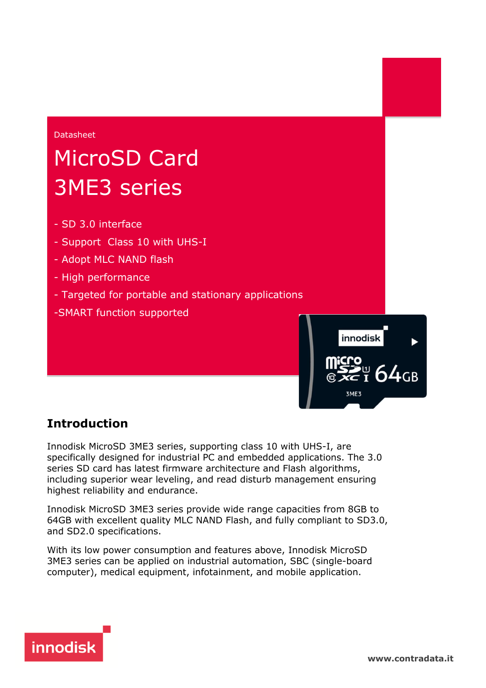

#### **Introduction**

Innodisk MicroSD 3ME3 series, supporting class 10 with UHS-I, are specifically designed for industrial PC and embedded applications. The 3.0 series SD card has latest firmware architecture and Flash algorithms, including superior wear leveling, and read disturb management ensuring highest reliability and endurance.

Innodisk MicroSD 3ME3 series provide wide range capacities from 8GB to 64GB with excellent quality MLC NAND Flash, and fully compliant to SD3.0, and SD2.0 specifications.

With its low power consumption and features above, Innodisk MicroSD 3ME3 series can be applied on industrial automation, SBC (single-board computer), medical equipment, infotainment, and mobile application.



 $\frac{U}{I}$  64<sub>GB</sub>

3ME3